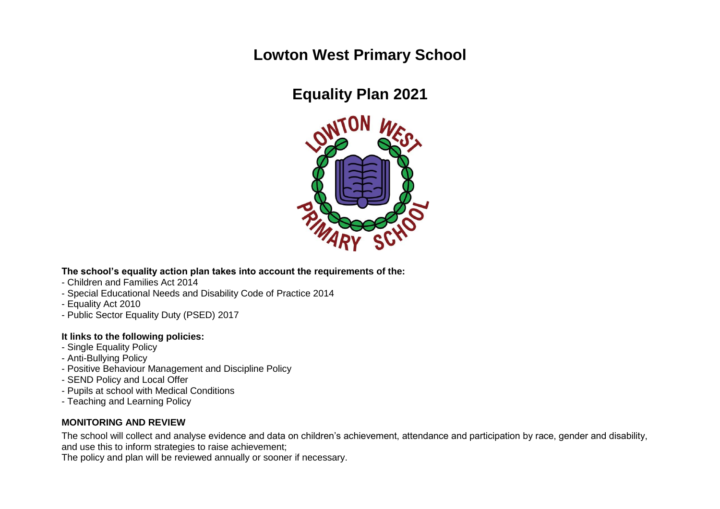## **Lowton West Primary School**

# **Equality Plan 2021**



**The school's equality action plan takes into account the requirements of the:**

- Children and Families Act 2014
- Special Educational Needs and Disability Code of Practice 2014
- Equality Act 2010
- Public Sector Equality Duty (PSED) 2017

## **It links to the following policies:**

- Single Equality Policy
- Anti-Bullying Policy
- Positive Behaviour Management and Discipline Policy
- SEND Policy and Local Offer
- Pupils at school with Medical Conditions
- Teaching and Learning Policy

## **MONITORING AND REVIEW**

The school will collect and analyse evidence and data on children's achievement, attendance and participation by race, gender and disability, and use this to inform strategies to raise achievement;

The policy and plan will be reviewed annually or sooner if necessary.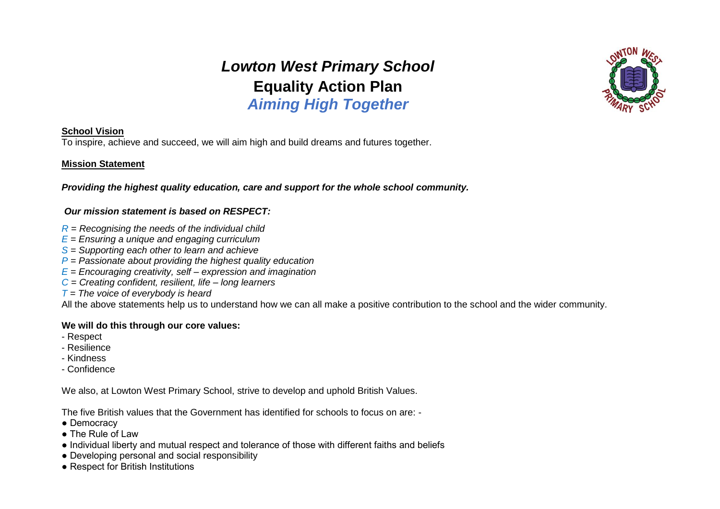*Lowton West Primary School*  **Equality Action Plan** *Aiming High Together*



#### **School Vision**

To inspire, achieve and succeed, we will aim high and build dreams and futures together.

#### **Mission Statement**

*Providing the highest quality education, care and support for the whole school community.*

#### *Our mission statement is based on RESPECT:*

- *R = Recognising the needs of the individual child*
- *E = Ensuring a unique and engaging curriculum*
- *S = Supporting each other to learn and achieve*
- *P = Passionate about providing the highest quality education*
- *E = Encouraging creativity, self – expression and imagination*
- *C = Creating confident, resilient, life – long learners*
- *T = The voice of everybody is heard*

All the above statements help us to understand how we can all make a positive contribution to the school and the wider community.

#### **We will do this through our core values:**

- Respect
- Resilience
- Kindness
- Confidence

We also, at Lowton West Primary School, strive to develop and uphold British Values.

The five British values that the Government has identified for schools to focus on are: -

- Democracy
- The Rule of Law
- Individual liberty and mutual respect and tolerance of those with different faiths and beliefs
- Developing personal and social responsibility
- Respect for British Institutions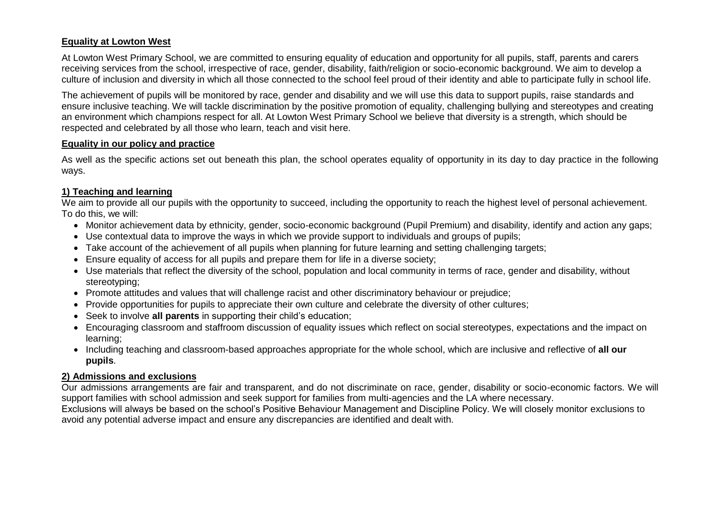## **Equality at Lowton West**

At Lowton West Primary School, we are committed to ensuring equality of education and opportunity for all pupils, staff, parents and carers receiving services from the school, irrespective of race, gender, disability, faith/religion or socio-economic background. We aim to develop a culture of inclusion and diversity in which all those connected to the school feel proud of their identity and able to participate fully in school life.

The achievement of pupils will be monitored by race, gender and disability and we will use this data to support pupils, raise standards and ensure inclusive teaching. We will tackle discrimination by the positive promotion of equality, challenging bullying and stereotypes and creating an environment which champions respect for all. At Lowton West Primary School we believe that diversity is a strength, which should be respected and celebrated by all those who learn, teach and visit here.

#### **Equality in our policy and practice**

As well as the specific actions set out beneath this plan, the school operates equality of opportunity in its day to day practice in the following ways.

## **1) Teaching and learning**

We aim to provide all our pupils with the opportunity to succeed, including the opportunity to reach the highest level of personal achievement. To do this, we will:

- Monitor achievement data by ethnicity, gender, socio-economic background (Pupil Premium) and disability, identify and action any gaps;
- Use contextual data to improve the ways in which we provide support to individuals and groups of pupils;
- Take account of the achievement of all pupils when planning for future learning and setting challenging targets;
- Ensure equality of access for all pupils and prepare them for life in a diverse society;
- Use materials that reflect the diversity of the school, population and local community in terms of race, gender and disability, without stereotyping;
- Promote attitudes and values that will challenge racist and other discriminatory behaviour or prejudice;
- Provide opportunities for pupils to appreciate their own culture and celebrate the diversity of other cultures;
- Seek to involve **all parents** in supporting their child's education;
- Encouraging classroom and staffroom discussion of equality issues which reflect on social stereotypes, expectations and the impact on learning;
- Including teaching and classroom-based approaches appropriate for the whole school, which are inclusive and reflective of **all our pupils**.

## **2) Admissions and exclusions**

Our admissions arrangements are fair and transparent, and do not discriminate on race, gender, disability or socio-economic factors. We will support families with school admission and seek support for families from multi-agencies and the LA where necessary.

Exclusions will always be based on the school's Positive Behaviour Management and Discipline Policy. We will closely monitor exclusions to avoid any potential adverse impact and ensure any discrepancies are identified and dealt with.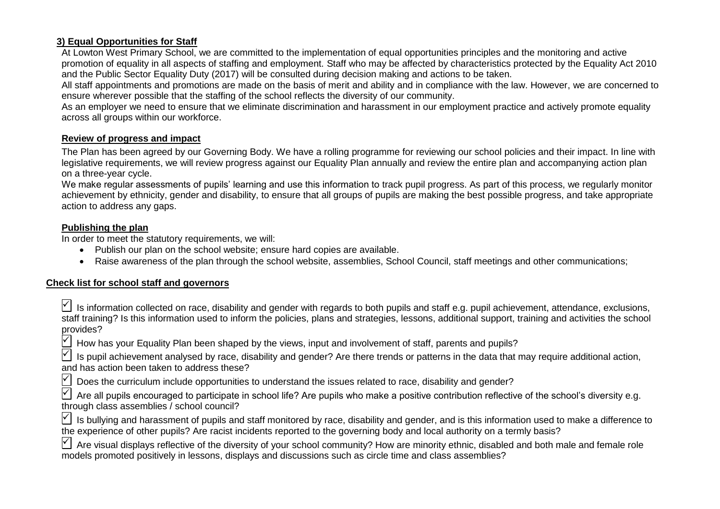## **3) Equal Opportunities for Staff**

At Lowton West Primary School, we are committed to the implementation of equal opportunities principles and the monitoring and active promotion of equality in all aspects of staffing and employment. Staff who may be affected by characteristics protected by the Equality Act 2010 and the Public Sector Equality Duty (2017) will be consulted during decision making and actions to be taken.

All staff appointments and promotions are made on the basis of merit and ability and in compliance with the law. However, we are concerned to ensure wherever possible that the staffing of the school reflects the diversity of our community.

As an employer we need to ensure that we eliminate discrimination and harassment in our employment practice and actively promote equality across all groups within our workforce.

## **Review of progress and impact**

The Plan has been agreed by our Governing Body. We have a rolling programme for reviewing our school policies and their impact. In line with legislative requirements, we will review progress against our Equality Plan annually and review the entire plan and accompanying action plan on a three-year cycle.

We make regular assessments of pupils' learning and use this information to track pupil progress. As part of this process, we regularly monitor achievement by ethnicity, gender and disability, to ensure that all groups of pupils are making the best possible progress, and take appropriate action to address any gaps.

## **Publishing the plan**

In order to meet the statutory requirements, we will:

- Publish our plan on the school website; ensure hard copies are available.
- Raise awareness of the plan through the school website, assemblies, School Council, staff meetings and other communications;

## **Check list for school staff and governors**

|           | $\leq$ Is information collected on race, disability and gender with regards to both pupils and staff e.g. pupil achievement, attendance, exclusions,   |  |  |  |  |  |  |
|-----------|--------------------------------------------------------------------------------------------------------------------------------------------------------|--|--|--|--|--|--|
|           | staff training? Is this information used to inform the policies, plans and strategies, lessons, additional support, training and activities the school |  |  |  |  |  |  |
| provides? |                                                                                                                                                        |  |  |  |  |  |  |

 $\forall$  How has your Equality Plan been shaped by the views, input and involvement of staff, parents and pupils?

 Is pupil achievement analysed by race, disability and gender? Are there trends or patterns in the data that may require additional action, and has action been taken to address these?

 $\Box$  Does the curriculum include opportunities to understand the issues related to race, disability and gender?

 Are all pupils encouraged to participate in school life? Are pupils who make a positive contribution reflective of the school's diversity e.g. through class assemblies / school council?

 $\forall$  Is bullying and harassment of pupils and staff monitored by race, disability and gender, and is this information used to make a difference to the experience of other pupils? Are racist incidents reported to the governing body and local authority on a termly basis?

 $\vert\vert$  Are visual displays reflective of the diversity of your school community? How are minority ethnic, disabled and both male and female role models promoted positively in lessons, displays and discussions such as circle time and class assemblies?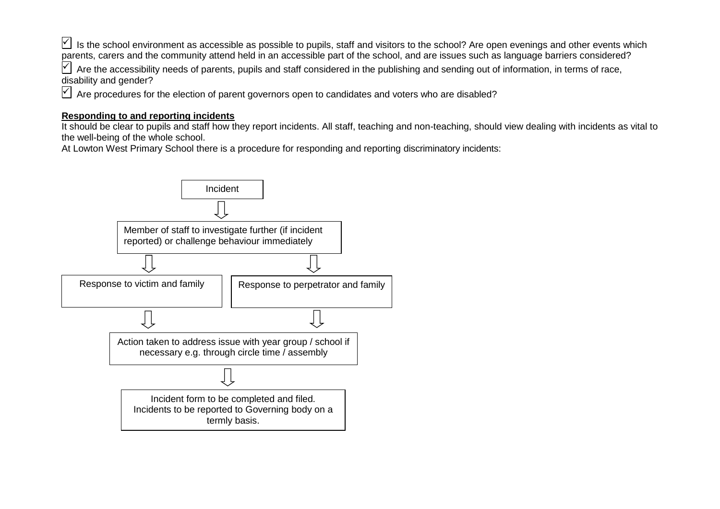$| \checkmark |$  is the school environment as accessible as possible to pupils, staff and visitors to the school? Are open evenings and other events which parents, carers and the community attend held in an accessible part of the school, and are issues such as language barriers considered?

 $\forall$  Are the accessibility needs of parents, pupils and staff considered in the publishing and sending out of information, in terms of race, disability and gender?

Are procedures for the election of parent governors open to candidates and voters who are disabled?

## **Responding to and reporting incidents**

It should be clear to pupils and staff how they report incidents. All staff, teaching and non-teaching, should view dealing with incidents as vital to the well-being of the whole school.

At Lowton West Primary School there is a procedure for responding and reporting discriminatory incidents:

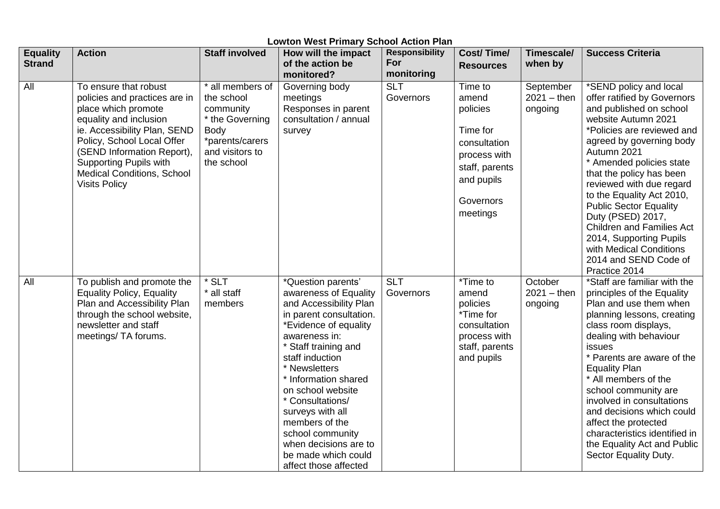| <b>Lowton West Primary School Action Plan</b> |                                                                                                                                                                                                                                                                                                   |                                                                                                                                   |                                                                                                                                                                                                                                                                                                                                                                                                            |                                            |                                                                                                                                   |                                       |                                                                                                                                                                                                                                                                                                                                                                                                                                                                                             |  |  |
|-----------------------------------------------|---------------------------------------------------------------------------------------------------------------------------------------------------------------------------------------------------------------------------------------------------------------------------------------------------|-----------------------------------------------------------------------------------------------------------------------------------|------------------------------------------------------------------------------------------------------------------------------------------------------------------------------------------------------------------------------------------------------------------------------------------------------------------------------------------------------------------------------------------------------------|--------------------------------------------|-----------------------------------------------------------------------------------------------------------------------------------|---------------------------------------|---------------------------------------------------------------------------------------------------------------------------------------------------------------------------------------------------------------------------------------------------------------------------------------------------------------------------------------------------------------------------------------------------------------------------------------------------------------------------------------------|--|--|
| <b>Equality</b><br><b>Strand</b>              | <b>Action</b>                                                                                                                                                                                                                                                                                     | <b>Staff involved</b>                                                                                                             | How will the impact<br>of the action be<br>monitored?                                                                                                                                                                                                                                                                                                                                                      | <b>Responsibility</b><br>For<br>monitoring | <b>Cost/Time/</b><br><b>Resources</b>                                                                                             | <b>Timescale/</b><br>when by          | <b>Success Criteria</b>                                                                                                                                                                                                                                                                                                                                                                                                                                                                     |  |  |
| All                                           | To ensure that robust<br>policies and practices are in<br>place which promote<br>equality and inclusion<br>ie. Accessibility Plan, SEND<br>Policy, School Local Offer<br>(SEND Information Report),<br><b>Supporting Pupils with</b><br><b>Medical Conditions, School</b><br><b>Visits Policy</b> | * all members of<br>the school<br>community<br>* the Governing<br><b>Body</b><br>*parents/carers<br>and visitors to<br>the school | Governing body<br>meetings<br>Responses in parent<br>consultation / annual<br>survey                                                                                                                                                                                                                                                                                                                       | <b>SLT</b><br>Governors                    | Time to<br>amend<br>policies<br>Time for<br>consultation<br>process with<br>staff, parents<br>and pupils<br>Governors<br>meetings | September<br>$2021 -$ then<br>ongoing | *SEND policy and local<br>offer ratified by Governors<br>and published on school<br>website Autumn 2021<br>*Policies are reviewed and<br>agreed by governing body<br>Autumn 2021<br>* Amended policies state<br>that the policy has been<br>reviewed with due regard<br>to the Equality Act 2010,<br><b>Public Sector Equality</b><br>Duty (PSED) 2017,<br><b>Children and Families Act</b><br>2014, Supporting Pupils<br>with Medical Conditions<br>2014 and SEND Code of<br>Practice 2014 |  |  |
| All                                           | To publish and promote the<br><b>Equality Policy, Equality</b><br>Plan and Accessibility Plan<br>through the school website,<br>newsletter and staff<br>meetings/ TA forums.                                                                                                                      | $*$ SLT<br>* all staff<br>members                                                                                                 | *Question parents'<br>awareness of Equality<br>and Accessibility Plan<br>in parent consultation.<br>*Evidence of equality<br>awareness in:<br>* Staff training and<br>staff induction<br>* Newsletters<br>* Information shared<br>on school website<br>* Consultations/<br>surveys with all<br>members of the<br>school community<br>when decisions are to<br>be made which could<br>affect those affected | <b>SLT</b><br>Governors                    | *Time to<br>amend<br>policies<br>*Time for<br>consultation<br>process with<br>staff, parents<br>and pupils                        | October<br>$2021 -$ then<br>ongoing   | *Staff are familiar with the<br>principles of the Equality<br>Plan and use them when<br>planning lessons, creating<br>class room displays,<br>dealing with behaviour<br>issues<br>* Parents are aware of the<br><b>Equality Plan</b><br>* All members of the<br>school community are<br>involved in consultations<br>and decisions which could<br>affect the protected<br>characteristics identified in<br>the Equality Act and Public<br>Sector Equality Duty.                             |  |  |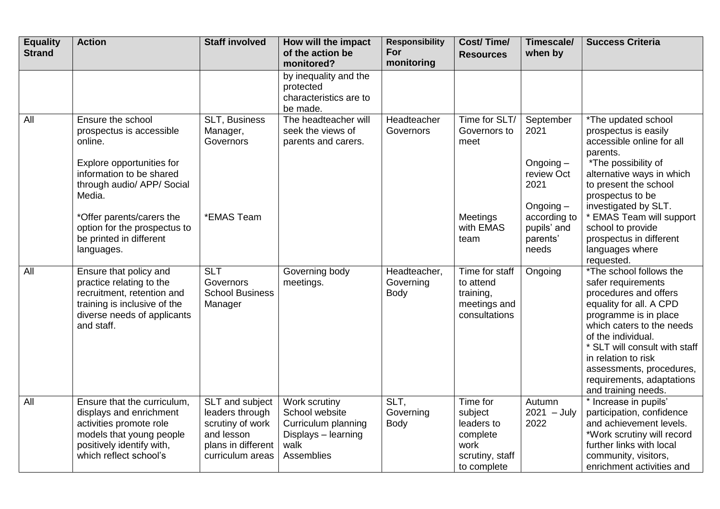| <b>Equality</b><br><b>Strand</b> | <b>Action</b>                                                                                                                                                        | <b>Staff involved</b>                                                                                          | How will the impact<br>of the action be<br>monitored?                                               | <b>Responsibility</b><br>For<br>monitoring | <b>Cost/Time/</b><br><b>Resources</b>                                                   | Timescale/<br>when by                                                 | <b>Success Criteria</b>                                                                                                                                                                                                                                                                                               |
|----------------------------------|----------------------------------------------------------------------------------------------------------------------------------------------------------------------|----------------------------------------------------------------------------------------------------------------|-----------------------------------------------------------------------------------------------------|--------------------------------------------|-----------------------------------------------------------------------------------------|-----------------------------------------------------------------------|-----------------------------------------------------------------------------------------------------------------------------------------------------------------------------------------------------------------------------------------------------------------------------------------------------------------------|
|                                  |                                                                                                                                                                      |                                                                                                                | by inequality and the<br>protected<br>characteristics are to<br>be made.                            |                                            |                                                                                         |                                                                       |                                                                                                                                                                                                                                                                                                                       |
| All                              | Ensure the school<br>prospectus is accessible<br>online.<br>Explore opportunities for<br>information to be shared<br>through audio/ APP/ Social<br>Media.            | SLT, Business<br>Manager,<br>Governors                                                                         | The headteacher will<br>seek the views of<br>parents and carers.                                    | Headteacher<br>Governors                   | Time for SLT/<br>Governors to<br>meet                                                   | September<br>2021<br>Ongoing $-$<br>review Oct<br>2021<br>Ongoing $-$ | *The updated school<br>prospectus is easily<br>accessible online for all<br>parents.<br>*The possibility of<br>alternative ways in which<br>to present the school<br>prospectus to be<br>investigated by SLT.                                                                                                         |
|                                  | *Offer parents/carers the<br>option for the prospectus to<br>be printed in different<br>languages.                                                                   | *EMAS Team                                                                                                     |                                                                                                     |                                            | Meetings<br>with EMAS<br>team                                                           | according to<br>pupils' and<br>parents'<br>needs                      | * EMAS Team will support<br>school to provide<br>prospectus in different<br>languages where<br>requested.                                                                                                                                                                                                             |
| All                              | Ensure that policy and<br>practice relating to the<br>recruitment, retention and<br>training is inclusive of the<br>diverse needs of applicants<br>and staff.        | <b>SLT</b><br>Governors<br><b>School Business</b><br>Manager                                                   | Governing body<br>meetings.                                                                         | Headteacher,<br>Governing<br>Body          | Time for staff<br>to attend<br>training,<br>meetings and<br>consultations               | Ongoing                                                               | *The school follows the<br>safer requirements<br>procedures and offers<br>equality for all. A CPD<br>programme is in place<br>which caters to the needs<br>of the individual.<br>* SLT will consult with staff<br>in relation to risk<br>assessments, procedures,<br>requirements, adaptations<br>and training needs. |
| <b>All</b>                       | Ensure that the curriculum,<br>displays and enrichment<br>activities promote role<br>models that young people<br>positively identify with,<br>which reflect school's | SLT and subject<br>leaders through<br>scrutiny of work<br>and lesson<br>plans in different<br>curriculum areas | Work scrutiny<br>School website<br>Curriculum planning<br>Displays - learning<br>walk<br>Assemblies | SLT,<br>Governing<br>Body                  | Time for<br>subject<br>leaders to<br>complete<br>work<br>scrutiny, staff<br>to complete | Autumn<br>$2021 - July$<br>2022                                       | * Increase in pupils'<br>participation, confidence<br>and achievement levels.<br>*Work scrutiny will record<br>further links with local<br>community, visitors,<br>enrichment activities and                                                                                                                          |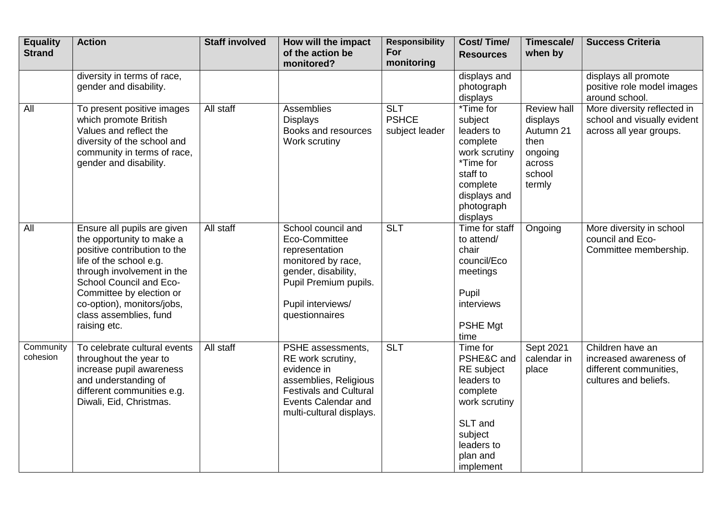| <b>Equality</b><br><b>Strand</b> | <b>Action</b>                                                                                                                                                                                                                                                                    | <b>Staff involved</b> | How will the impact<br>of the action be<br>monitored?                                                                                                                     | <b>Responsibility</b><br>For<br>monitoring   | <b>Cost/Time/</b><br><b>Resources</b>                                                                                                               | Timescale/<br>when by                                                                        | <b>Success Criteria</b>                                                                       |
|----------------------------------|----------------------------------------------------------------------------------------------------------------------------------------------------------------------------------------------------------------------------------------------------------------------------------|-----------------------|---------------------------------------------------------------------------------------------------------------------------------------------------------------------------|----------------------------------------------|-----------------------------------------------------------------------------------------------------------------------------------------------------|----------------------------------------------------------------------------------------------|-----------------------------------------------------------------------------------------------|
|                                  | diversity in terms of race,<br>gender and disability.                                                                                                                                                                                                                            |                       |                                                                                                                                                                           |                                              | displays and<br>photograph<br>displays                                                                                                              |                                                                                              | displays all promote<br>positive role model images<br>around school.                          |
| All                              | To present positive images<br>which promote British<br>Values and reflect the<br>diversity of the school and<br>community in terms of race,<br>gender and disability.                                                                                                            | All staff             | Assemblies<br><b>Displays</b><br>Books and resources<br>Work scrutiny                                                                                                     | <b>SLT</b><br><b>PSHCE</b><br>subject leader | *Time for<br>subject<br>leaders to<br>complete<br>work scrutiny<br>*Time for<br>staff to<br>complete<br>displays and<br>photograph<br>displays      | <b>Review hall</b><br>displays<br>Autumn 21<br>then<br>ongoing<br>across<br>school<br>termly | More diversity reflected in<br>school and visually evident<br>across all year groups.         |
| All                              | Ensure all pupils are given<br>the opportunity to make a<br>positive contribution to the<br>life of the school e.g.<br>through involvement in the<br>School Council and Eco-<br>Committee by election or<br>co-option), monitors/jobs,<br>class assemblies, fund<br>raising etc. | All staff             | School council and<br>Eco-Committee<br>representation<br>monitored by race,<br>gender, disability,<br>Pupil Premium pupils.<br>Pupil interviews/<br>questionnaires        | <b>SLT</b>                                   | Time for staff<br>to attend/<br>chair<br>council/Eco<br>meetings<br>Pupil<br>interviews<br>PSHE Mgt<br>time                                         | Ongoing                                                                                      | More diversity in school<br>council and Eco-<br>Committee membership.                         |
| Community<br>cohesion            | To celebrate cultural events<br>throughout the year to<br>increase pupil awareness<br>and understanding of<br>different communities e.g.<br>Diwali, Eid, Christmas.                                                                                                              | All staff             | PSHE assessments,<br>RE work scrutiny,<br>evidence in<br>assemblies, Religious<br><b>Festivals and Cultural</b><br><b>Events Calendar and</b><br>multi-cultural displays. | <b>SLT</b>                                   | Time for<br>PSHE&C and<br><b>RE</b> subject<br>leaders to<br>complete<br>work scrutiny<br>SLT and<br>subject<br>leaders to<br>plan and<br>implement | Sept 2021<br>calendar in<br>place                                                            | Children have an<br>increased awareness of<br>different communities,<br>cultures and beliefs. |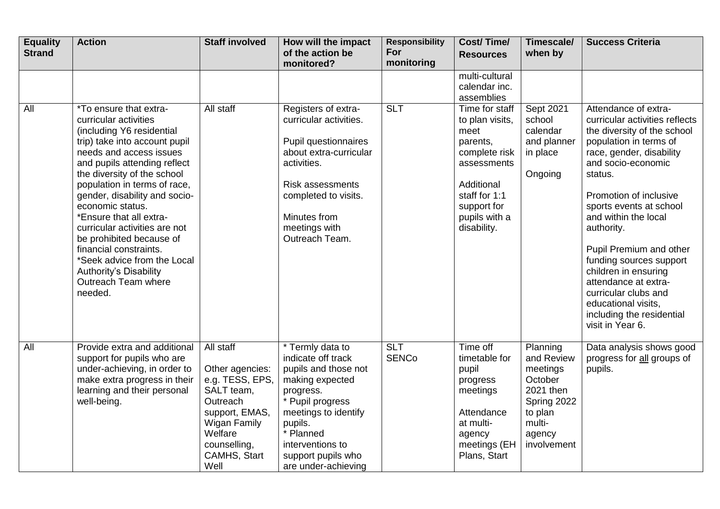| <b>Equality</b><br><b>Strand</b> | <b>Action</b>                                                                                                                                                                                                                                                                                                                                                                                                                                                                                                    | <b>Staff involved</b>                                                                                                                                          | How will the impact<br>of the action be<br>monitored?                                                                                                                                                                               | <b>Responsibility</b><br>For<br>monitoring | <b>Cost/Time/</b><br><b>Resources</b>                                                                                                                               | Timescale/<br>when by                                                                                                   | <b>Success Criteria</b>                                                                                                                                                                                                                                                                                                                                                                                                                                                       |
|----------------------------------|------------------------------------------------------------------------------------------------------------------------------------------------------------------------------------------------------------------------------------------------------------------------------------------------------------------------------------------------------------------------------------------------------------------------------------------------------------------------------------------------------------------|----------------------------------------------------------------------------------------------------------------------------------------------------------------|-------------------------------------------------------------------------------------------------------------------------------------------------------------------------------------------------------------------------------------|--------------------------------------------|---------------------------------------------------------------------------------------------------------------------------------------------------------------------|-------------------------------------------------------------------------------------------------------------------------|-------------------------------------------------------------------------------------------------------------------------------------------------------------------------------------------------------------------------------------------------------------------------------------------------------------------------------------------------------------------------------------------------------------------------------------------------------------------------------|
|                                  |                                                                                                                                                                                                                                                                                                                                                                                                                                                                                                                  |                                                                                                                                                                |                                                                                                                                                                                                                                     |                                            | multi-cultural<br>calendar inc.<br>assemblies                                                                                                                       |                                                                                                                         |                                                                                                                                                                                                                                                                                                                                                                                                                                                                               |
| All                              | *To ensure that extra-<br>curricular activities<br>(including Y6 residential<br>trip) take into account pupil<br>needs and access issues<br>and pupils attending reflect<br>the diversity of the school<br>population in terms of race,<br>gender, disability and socio-<br>economic status.<br>*Ensure that all extra-<br>curricular activities are not<br>be prohibited because of<br>financial constraints.<br>*Seek advice from the Local<br><b>Authority's Disability</b><br>Outreach Team where<br>needed. | All staff                                                                                                                                                      | Registers of extra-<br>curricular activities.<br>Pupil questionnaires<br>about extra-curricular<br>activities.<br><b>Risk assessments</b><br>completed to visits.<br>Minutes from<br>meetings with<br>Outreach Team.                | <b>SLT</b>                                 | Time for staff<br>to plan visits,<br>meet<br>parents,<br>complete risk<br>assessments<br>Additional<br>staff for 1:1<br>support for<br>pupils with a<br>disability. | Sept 2021<br>school<br>calendar<br>and planner<br>in place<br>Ongoing                                                   | Attendance of extra-<br>curricular activities reflects<br>the diversity of the school<br>population in terms of<br>race, gender, disability<br>and socio-economic<br>status.<br>Promotion of inclusive<br>sports events at school<br>and within the local<br>authority.<br>Pupil Premium and other<br>funding sources support<br>children in ensuring<br>attendance at extra-<br>curricular clubs and<br>educational visits,<br>including the residential<br>visit in Year 6. |
| All                              | Provide extra and additional<br>support for pupils who are<br>under-achieving, in order to<br>make extra progress in their<br>learning and their personal<br>well-being.                                                                                                                                                                                                                                                                                                                                         | All staff<br>Other agencies:<br>e.g. TESS, EPS,<br>SALT team,<br>Outreach<br>support, EMAS,<br>Wigan Family<br>Welfare<br>counselling,<br>CAMHS, Start<br>Well | * Termly data to<br>indicate off track<br>pupils and those not<br>making expected<br>progress.<br>* Pupil progress<br>meetings to identify<br>pupils.<br>* Planned<br>interventions to<br>support pupils who<br>are under-achieving | <b>SLT</b><br><b>SENCo</b>                 | Time off<br>timetable for<br>pupil<br>progress<br>meetings<br>Attendance<br>at multi-<br>agency<br>meetings (EH<br>Plans, Start                                     | Planning<br>and Review<br>meetings<br>October<br>2021 then<br>Spring 2022<br>to plan<br>multi-<br>agency<br>involvement | Data analysis shows good<br>progress for all groups of<br>pupils.                                                                                                                                                                                                                                                                                                                                                                                                             |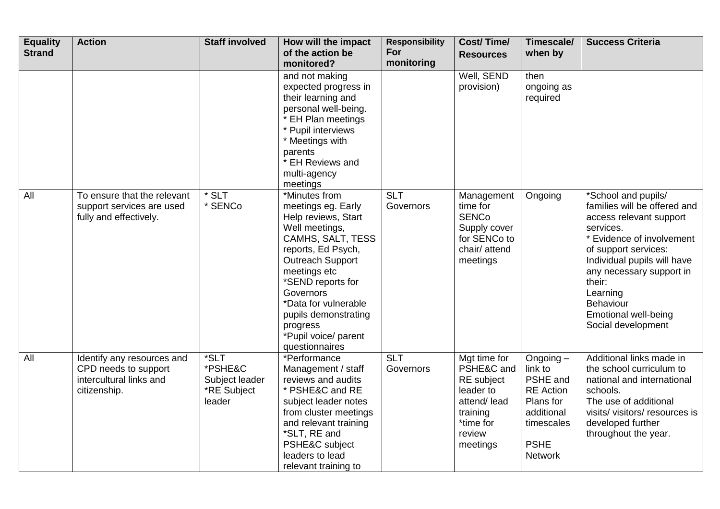| <b>Equality</b><br><b>Strand</b> | <b>Action</b>                                                                                 | <b>Staff involved</b>                                      | How will the impact<br>of the action be<br>monitored?                                                                                                                                                                                                                                                      | <b>Responsibility</b><br>For<br>monitoring | <b>Cost/Time/</b><br><b>Resources</b>                                                                               | Timescale/<br>when by                                                                                                            | <b>Success Criteria</b>                                                                                                                                                                                                                                                                             |
|----------------------------------|-----------------------------------------------------------------------------------------------|------------------------------------------------------------|------------------------------------------------------------------------------------------------------------------------------------------------------------------------------------------------------------------------------------------------------------------------------------------------------------|--------------------------------------------|---------------------------------------------------------------------------------------------------------------------|----------------------------------------------------------------------------------------------------------------------------------|-----------------------------------------------------------------------------------------------------------------------------------------------------------------------------------------------------------------------------------------------------------------------------------------------------|
|                                  |                                                                                               |                                                            | and not making<br>expected progress in<br>their learning and<br>personal well-being.<br>* EH Plan meetings<br>* Pupil interviews<br>* Meetings with<br>parents<br>* EH Reviews and<br>multi-agency<br>meetings                                                                                             |                                            | Well, SEND<br>provision)                                                                                            | then<br>ongoing as<br>required                                                                                                   |                                                                                                                                                                                                                                                                                                     |
| All                              | To ensure that the relevant<br>support services are used<br>fully and effectively.            | * SLT<br>* SENCo                                           | *Minutes from<br>meetings eg. Early<br>Help reviews, Start<br>Well meetings,<br>CAMHS, SALT, TESS<br>reports, Ed Psych,<br><b>Outreach Support</b><br>meetings etc<br>*SEND reports for<br>Governors<br>*Data for vulnerable<br>pupils demonstrating<br>progress<br>*Pupil voice/ parent<br>questionnaires | <b>SLT</b><br>Governors                    | Management<br>time for<br><b>SENCo</b><br>Supply cover<br>for SENCo to<br>chair/ attend<br>meetings                 | Ongoing                                                                                                                          | *School and pupils/<br>families will be offered and<br>access relevant support<br>services.<br>* Evidence of involvement<br>of support services:<br>Individual pupils will have<br>any necessary support in<br>their:<br>Learning<br>Behaviour<br><b>Emotional well-being</b><br>Social development |
| <b>All</b>                       | Identify any resources and<br>CPD needs to support<br>intercultural links and<br>citizenship. | *SLT<br>*PSHE&C<br>Subject leader<br>*RE Subject<br>leader | *Performance<br>Management / staff<br>reviews and audits<br>* PSHE&C and RE<br>subject leader notes<br>from cluster meetings<br>and relevant training<br>*SLT, RE and<br>PSHE&C subject<br>leaders to lead<br>relevant training to                                                                         | $\overline{SLT}$<br>Governors              | Mgt time for<br>PSHE&C and<br>RE subject<br>leader to<br>attend/lead<br>training<br>*time for<br>review<br>meetings | Ongoing $-$<br>link to<br>PSHE and<br><b>RE</b> Action<br>Plans for<br>additional<br>timescales<br><b>PSHE</b><br><b>Network</b> | Additional links made in<br>the school curriculum to<br>national and international<br>schools.<br>The use of additional<br>visits/visitors/resources is<br>developed further<br>throughout the year.                                                                                                |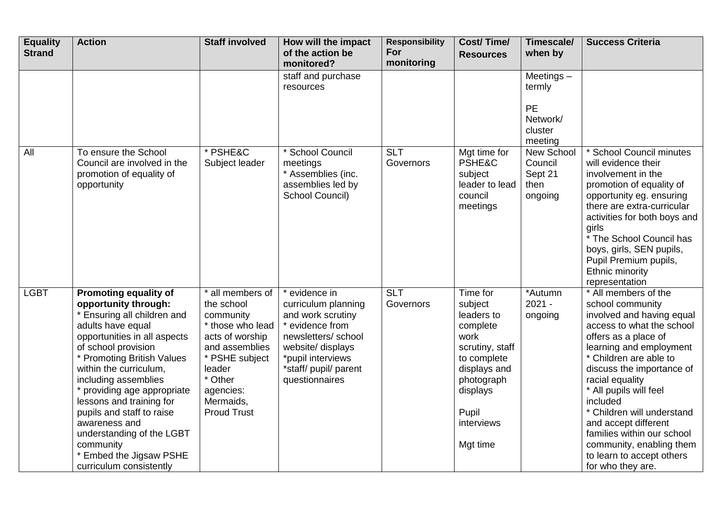| <b>Equality</b><br><b>Strand</b> | <b>Action</b>                                                                                                                                                                                                                                                                                                                                                                                                                                   | <b>Staff involved</b>                                                                                                                                                                       | How will the impact<br>of the action be<br>monitored?                                                                                                                                   | <b>Responsibility</b><br>For<br>monitoring | <b>Cost/Time/</b><br><b>Resources</b>                                                                                                                                | Timescale/<br>when by                                          | <b>Success Criteria</b>                                                                                                                                                                                                                                                                                                                                                                                                                 |
|----------------------------------|-------------------------------------------------------------------------------------------------------------------------------------------------------------------------------------------------------------------------------------------------------------------------------------------------------------------------------------------------------------------------------------------------------------------------------------------------|---------------------------------------------------------------------------------------------------------------------------------------------------------------------------------------------|-----------------------------------------------------------------------------------------------------------------------------------------------------------------------------------------|--------------------------------------------|----------------------------------------------------------------------------------------------------------------------------------------------------------------------|----------------------------------------------------------------|-----------------------------------------------------------------------------------------------------------------------------------------------------------------------------------------------------------------------------------------------------------------------------------------------------------------------------------------------------------------------------------------------------------------------------------------|
|                                  |                                                                                                                                                                                                                                                                                                                                                                                                                                                 |                                                                                                                                                                                             | staff and purchase<br>resources                                                                                                                                                         |                                            |                                                                                                                                                                      | Meetings $-$<br>termly<br>PE<br>Network/<br>cluster<br>meeting |                                                                                                                                                                                                                                                                                                                                                                                                                                         |
| All                              | To ensure the School<br>Council are involved in the<br>promotion of equality of<br>opportunity                                                                                                                                                                                                                                                                                                                                                  | * PSHE&C<br>Subject leader                                                                                                                                                                  | * School Council<br>meetings<br>* Assemblies (inc.<br>assemblies led by<br>School Council)                                                                                              | <b>SLT</b><br>Governors                    | Mgt time for<br>PSHE&C<br>subject<br>leader to lead<br>council<br>meetings                                                                                           | New School<br>Council<br>Sept 21<br>then<br>ongoing            | * School Council minutes<br>will evidence their<br>involvement in the<br>promotion of equality of<br>opportunity eg. ensuring<br>there are extra-curricular<br>activities for both boys and<br>girls<br>* The School Council has<br>boys, girls, SEN pupils,<br>Pupil Premium pupils,<br>Ethnic minority<br>representation                                                                                                              |
| $-GBT$                           | Promoting equality of<br>opportunity through:<br>* Ensuring all children and<br>adults have equal<br>opportunities in all aspects<br>of school provision<br>* Promoting British Values<br>within the curriculum,<br>including assemblies<br>providing age appropriate<br>lessons and training for<br>pupils and staff to raise<br>awareness and<br>understanding of the LGBT<br>community<br>* Embed the Jigsaw PSHE<br>curriculum consistently | * all members of<br>the school<br>community<br>* those who lead<br>acts of worship<br>and assemblies<br>* PSHE subject<br>leader<br>* Other<br>agencies:<br>Mermaids,<br><b>Proud Trust</b> | * evidence in<br>curriculum planning<br>and work scrutiny<br>* evidence from<br>newsletters/school<br>website/ displays<br>*pupil interviews<br>*staff/ pupil/ parent<br>questionnaires | <b>SLT</b><br>Governors                    | Time for<br>subject<br>leaders to<br>complete<br>work<br>scrutiny, staff<br>to complete<br>displays and<br>photograph<br>displays<br>Pupil<br>interviews<br>Mgt time | *Autumn<br>$2021 -$<br>ongoing                                 | * All members of the<br>school community<br>involved and having equal<br>access to what the school<br>offers as a place of<br>learning and employment<br>* Children are able to<br>discuss the importance of<br>racial equality<br>* All pupils will feel<br>included<br>* Children will understand<br>and accept different<br>families within our school<br>community, enabling them<br>to learn to accept others<br>for who they are. |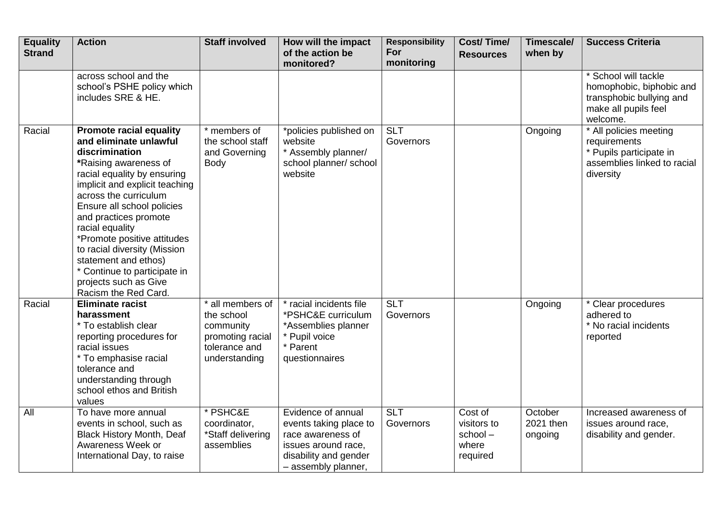| <b>Equality</b><br><b>Strand</b> | <b>Action</b>                                                                                                                                                                                                                                                                                                                                                                                                                                   | <b>Staff involved</b>                                                                             | How will the impact<br>of the action be<br>monitored?                                                                                    | <b>Responsibility</b><br>For<br>monitoring | <b>Cost/Time/</b><br><b>Resources</b>                  | Timescale/<br>when by           | <b>Success Criteria</b>                                                                                          |
|----------------------------------|-------------------------------------------------------------------------------------------------------------------------------------------------------------------------------------------------------------------------------------------------------------------------------------------------------------------------------------------------------------------------------------------------------------------------------------------------|---------------------------------------------------------------------------------------------------|------------------------------------------------------------------------------------------------------------------------------------------|--------------------------------------------|--------------------------------------------------------|---------------------------------|------------------------------------------------------------------------------------------------------------------|
|                                  | across school and the<br>school's PSHE policy which<br>includes SRE & HE.                                                                                                                                                                                                                                                                                                                                                                       |                                                                                                   |                                                                                                                                          |                                            |                                                        |                                 | * School will tackle<br>homophobic, biphobic and<br>transphobic bullying and<br>make all pupils feel<br>welcome. |
| Racial                           | <b>Promote racial equality</b><br>and eliminate unlawful<br>discrimination<br>*Raising awareness of<br>racial equality by ensuring<br>implicit and explicit teaching<br>across the curriculum<br>Ensure all school policies<br>and practices promote<br>racial equality<br>*Promote positive attitudes<br>to racial diversity (Mission<br>statement and ethos)<br>* Continue to participate in<br>projects such as Give<br>Racism the Red Card. | * members of<br>the school staff<br>and Governing<br>Body                                         | *policies published on<br>website<br>* Assembly planner/<br>school planner/ school<br>website                                            | <b>SLT</b><br>Governors                    |                                                        | Ongoing                         | * All policies meeting<br>requirements<br>* Pupils participate in<br>assemblies linked to racial<br>diversity    |
| Racial                           | <b>Eliminate racist</b><br>harassment<br>* To establish clear<br>reporting procedures for<br>racial issues<br>* To emphasise racial<br>tolerance and<br>understanding through<br>school ethos and British<br>values                                                                                                                                                                                                                             | * all members of<br>the school<br>community<br>promoting racial<br>tolerance and<br>understanding | * racial incidents file<br>*PSHC&E curriculum<br>*Assemblies planner<br>* Pupil voice<br>* Parent<br>questionnaires                      | <b>SLT</b><br>Governors                    |                                                        | Ongoing                         | * Clear procedures<br>adhered to<br>* No racial incidents<br>reported                                            |
| All                              | To have more annual<br>events in school, such as<br><b>Black History Month, Deaf</b><br>Awareness Week or<br>International Day, to raise                                                                                                                                                                                                                                                                                                        | * PSHC&E<br>coordinator,<br>*Staff delivering<br>assemblies                                       | Evidence of annual<br>events taking place to<br>race awareness of<br>issues around race,<br>disability and gender<br>- assembly planner, | $\overline{SLT}$<br>Governors              | Cost of<br>visitors to<br>school-<br>where<br>required | October<br>2021 then<br>ongoing | Increased awareness of<br>issues around race,<br>disability and gender.                                          |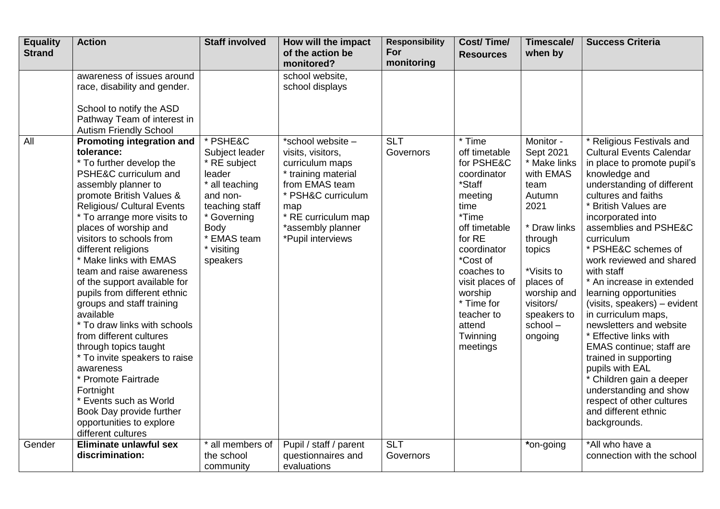| <b>Equality</b><br><b>Strand</b> | <b>Action</b>                                                                                                                                                                                                                                                                                                                                                                                                                                                                                                                                                                                                                                                                                                                                        | <b>Staff involved</b>                                                                                                                                                | How will the impact<br>of the action be                                                                                                                                                          | <b>Responsibility</b><br>For | <b>Cost/Time/</b><br><b>Resources</b>                                                                                                                                                                                                                      | Timescale/<br>when by                                                                                                                                                                                          | <b>Success Criteria</b>                                                                                                                                                                                                                                                                                                                                                                                                                                                                                                                                                                                                                                                                             |
|----------------------------------|------------------------------------------------------------------------------------------------------------------------------------------------------------------------------------------------------------------------------------------------------------------------------------------------------------------------------------------------------------------------------------------------------------------------------------------------------------------------------------------------------------------------------------------------------------------------------------------------------------------------------------------------------------------------------------------------------------------------------------------------------|----------------------------------------------------------------------------------------------------------------------------------------------------------------------|--------------------------------------------------------------------------------------------------------------------------------------------------------------------------------------------------|------------------------------|------------------------------------------------------------------------------------------------------------------------------------------------------------------------------------------------------------------------------------------------------------|----------------------------------------------------------------------------------------------------------------------------------------------------------------------------------------------------------------|-----------------------------------------------------------------------------------------------------------------------------------------------------------------------------------------------------------------------------------------------------------------------------------------------------------------------------------------------------------------------------------------------------------------------------------------------------------------------------------------------------------------------------------------------------------------------------------------------------------------------------------------------------------------------------------------------------|
|                                  |                                                                                                                                                                                                                                                                                                                                                                                                                                                                                                                                                                                                                                                                                                                                                      |                                                                                                                                                                      | monitored?                                                                                                                                                                                       | monitoring                   |                                                                                                                                                                                                                                                            |                                                                                                                                                                                                                |                                                                                                                                                                                                                                                                                                                                                                                                                                                                                                                                                                                                                                                                                                     |
|                                  | awareness of issues around<br>race, disability and gender.<br>School to notify the ASD<br>Pathway Team of interest in<br><b>Autism Friendly School</b>                                                                                                                                                                                                                                                                                                                                                                                                                                                                                                                                                                                               |                                                                                                                                                                      | school website,<br>school displays                                                                                                                                                               |                              |                                                                                                                                                                                                                                                            |                                                                                                                                                                                                                |                                                                                                                                                                                                                                                                                                                                                                                                                                                                                                                                                                                                                                                                                                     |
| $\overline{All}$                 | <b>Promoting integration and</b><br>tolerance:<br>* To further develop the<br>PSHE&C curriculum and<br>assembly planner to<br>promote British Values &<br><b>Religious/ Cultural Events</b><br>* To arrange more visits to<br>places of worship and<br>visitors to schools from<br>different religions<br>* Make links with EMAS<br>team and raise awareness<br>of the support available for<br>pupils from different ethnic<br>groups and staff training<br>available<br>* To draw links with schools<br>from different cultures<br>through topics taught<br>* To invite speakers to raise<br>awareness<br>* Promote Fairtrade<br>Fortnight<br>* Events such as World<br>Book Day provide further<br>opportunities to explore<br>different cultures | * PSHE&C<br>Subject leader<br>* RE subject<br>leader<br>* all teaching<br>and non-<br>teaching staff<br>* Governing<br>Body<br>* EMAS team<br>* visiting<br>speakers | *school website -<br>visits, visitors,<br>curriculum maps<br>* training material<br>from EMAS team<br>* PSH&C curriculum<br>map<br>* RE curriculum map<br>*assembly planner<br>*Pupil interviews | <b>SLT</b><br>Governors      | * Time<br>off timetable<br>for PSHE&C<br>coordinator<br>*Staff<br>meeting<br>time<br>*Time<br>off timetable<br>for RE<br>coordinator<br>*Cost of<br>coaches to<br>visit places of<br>worship<br>* Time for<br>teacher to<br>attend<br>Twinning<br>meetings | Monitor -<br>Sept 2021<br>* Make links<br>with EMAS<br>team<br>Autumn<br>2021<br>* Draw links<br>through<br>topics<br>*Visits to<br>places of<br>worship and<br>visitors/<br>speakers to<br>school-<br>ongoing | * Religious Festivals and<br><b>Cultural Events Calendar</b><br>in place to promote pupil's<br>knowledge and<br>understanding of different<br>cultures and faiths<br>* British Values are<br>incorporated into<br>assemblies and PSHE&C<br>curriculum<br>* PSHE&C schemes of<br>work reviewed and shared<br>with staff<br>* An increase in extended<br>learning opportunities<br>(visits, speakers) - evident<br>in curriculum maps,<br>newsletters and website<br>* Effective links with<br><b>EMAS</b> continue; staff are<br>trained in supporting<br>pupils with EAL<br>* Children gain a deeper<br>understanding and show<br>respect of other cultures<br>and different ethnic<br>backgrounds. |
| Gender                           | Eliminate unlawful sex                                                                                                                                                                                                                                                                                                                                                                                                                                                                                                                                                                                                                                                                                                                               | * all members of                                                                                                                                                     | Pupil / staff / parent                                                                                                                                                                           | <b>SLT</b>                   |                                                                                                                                                                                                                                                            | *on-going                                                                                                                                                                                                      | *All who have a                                                                                                                                                                                                                                                                                                                                                                                                                                                                                                                                                                                                                                                                                     |
|                                  | discrimination:                                                                                                                                                                                                                                                                                                                                                                                                                                                                                                                                                                                                                                                                                                                                      | the school<br>community                                                                                                                                              | questionnaires and<br>evaluations                                                                                                                                                                | Governors                    |                                                                                                                                                                                                                                                            |                                                                                                                                                                                                                | connection with the school                                                                                                                                                                                                                                                                                                                                                                                                                                                                                                                                                                                                                                                                          |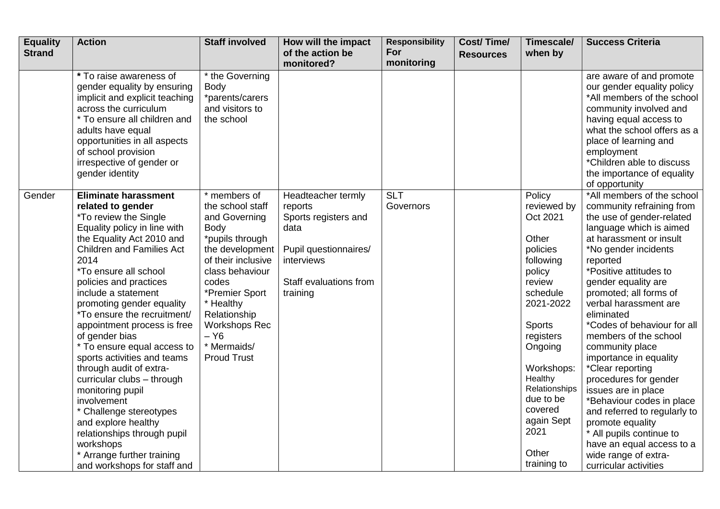| <b>Equality</b><br><b>Strand</b> | <b>Action</b>                                                                                                                                                                                                                                                                                                                                                                                                                                                                                                                                                                                                                                                                                         | <b>Staff involved</b>                                                                                                                                                                                                                                                   | How will the impact<br>of the action be<br>monitored?                                                                                      | <b>Responsibility</b><br>For<br>monitoring | <b>Cost/Time/</b><br><b>Resources</b> | Timescale/<br>when by                                                                                                                                                                                                                                              | <b>Success Criteria</b>                                                                                                                                                                                                                                                                                                                                                                                                                                                                                                                                                                                                                                                     |
|----------------------------------|-------------------------------------------------------------------------------------------------------------------------------------------------------------------------------------------------------------------------------------------------------------------------------------------------------------------------------------------------------------------------------------------------------------------------------------------------------------------------------------------------------------------------------------------------------------------------------------------------------------------------------------------------------------------------------------------------------|-------------------------------------------------------------------------------------------------------------------------------------------------------------------------------------------------------------------------------------------------------------------------|--------------------------------------------------------------------------------------------------------------------------------------------|--------------------------------------------|---------------------------------------|--------------------------------------------------------------------------------------------------------------------------------------------------------------------------------------------------------------------------------------------------------------------|-----------------------------------------------------------------------------------------------------------------------------------------------------------------------------------------------------------------------------------------------------------------------------------------------------------------------------------------------------------------------------------------------------------------------------------------------------------------------------------------------------------------------------------------------------------------------------------------------------------------------------------------------------------------------------|
|                                  | * To raise awareness of<br>gender equality by ensuring<br>implicit and explicit teaching<br>across the curriculum<br>* To ensure all children and<br>adults have equal<br>opportunities in all aspects<br>of school provision<br>irrespective of gender or<br>gender identity                                                                                                                                                                                                                                                                                                                                                                                                                         | $*$ the Governing<br><b>Body</b><br>*parents/carers<br>and visitors to<br>the school                                                                                                                                                                                    |                                                                                                                                            |                                            |                                       |                                                                                                                                                                                                                                                                    | are aware of and promote<br>our gender equality policy<br>*All members of the school<br>community involved and<br>having equal access to<br>what the school offers as a<br>place of learning and<br>employment<br>*Children able to discuss<br>the importance of equality<br>of opportunity                                                                                                                                                                                                                                                                                                                                                                                 |
| Gender                           | <b>Eliminate harassment</b><br>related to gender<br>*To review the Single<br>Equality policy in line with<br>the Equality Act 2010 and<br><b>Children and Families Act</b><br>2014<br><i>*To ensure all school</i><br>policies and practices<br>include a statement<br>promoting gender equality<br>*To ensure the recruitment/<br>appointment process is free<br>of gender bias<br>* To ensure equal access to<br>sports activities and teams<br>through audit of extra-<br>curricular clubs - through<br>monitoring pupil<br>involvement<br>* Challenge stereotypes<br>and explore healthy<br>relationships through pupil<br>workshops<br>* Arrange further training<br>and workshops for staff and | * members of<br>the school staff<br>and Governing<br>Body<br>*pupils through<br>the development<br>of their inclusive<br>class behaviour<br>codes<br>*Premier Sport<br>* Healthy<br>Relationship<br><b>Workshops Rec</b><br>$- Y6$<br>* Mermaids/<br><b>Proud Trust</b> | Headteacher termly<br>reports<br>Sports registers and<br>data<br>Pupil questionnaires/<br>interviews<br>Staff evaluations from<br>training | <b>SLT</b><br>Governors                    |                                       | Policy<br>reviewed by<br>Oct 2021<br>Other<br>policies<br>following<br>policy<br>review<br>schedule<br>2021-2022<br>Sports<br>registers<br>Ongoing<br>Workshops:<br>Healthy<br>Relationships<br>due to be<br>covered<br>again Sept<br>2021<br>Other<br>training to | *All members of the school<br>community refraining from<br>the use of gender-related<br>language which is aimed<br>at harassment or insult<br>*No gender incidents<br>reported<br>*Positive attitudes to<br>gender equality are<br>promoted; all forms of<br>verbal harassment are<br>eliminated<br><i>*Codes of behaviour for all</i><br>members of the school<br>community place<br>importance in equality<br>*Clear reporting<br>procedures for gender<br>issues are in place<br>*Behaviour codes in place<br>and referred to regularly to<br>promote equality<br>* All pupils continue to<br>have an equal access to a<br>wide range of extra-<br>curricular activities |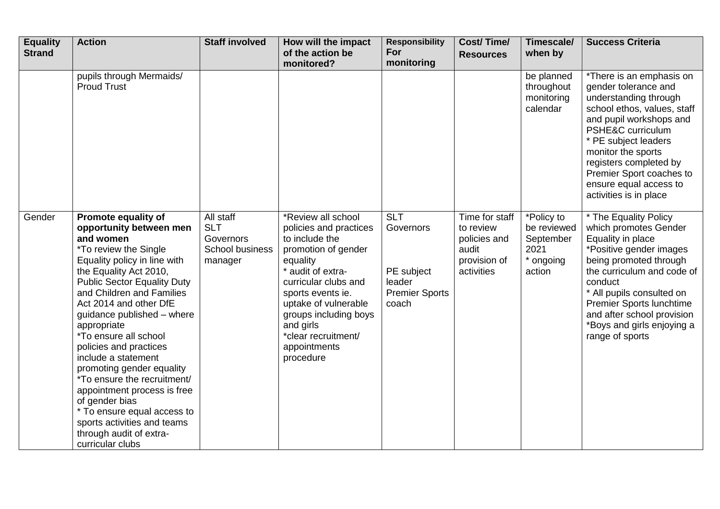| <b>Equality</b><br><b>Strand</b> | <b>Action</b>                                                                                                                                                                                                                                                                                                                                                                                                                                                                                                                                                                                       | <b>Staff involved</b>                                                     | How will the impact<br>of the action be<br>monitored?                                                                                                                                                                                                                                 | <b>Responsibility</b><br>For<br>monitoring                                        | <b>Cost/Time/</b><br><b>Resources</b>                                              | Timescale/<br>when by                                                 | <b>Success Criteria</b>                                                                                                                                                                                                                                                                                          |
|----------------------------------|-----------------------------------------------------------------------------------------------------------------------------------------------------------------------------------------------------------------------------------------------------------------------------------------------------------------------------------------------------------------------------------------------------------------------------------------------------------------------------------------------------------------------------------------------------------------------------------------------------|---------------------------------------------------------------------------|---------------------------------------------------------------------------------------------------------------------------------------------------------------------------------------------------------------------------------------------------------------------------------------|-----------------------------------------------------------------------------------|------------------------------------------------------------------------------------|-----------------------------------------------------------------------|------------------------------------------------------------------------------------------------------------------------------------------------------------------------------------------------------------------------------------------------------------------------------------------------------------------|
|                                  | pupils through Mermaids/<br><b>Proud Trust</b>                                                                                                                                                                                                                                                                                                                                                                                                                                                                                                                                                      |                                                                           |                                                                                                                                                                                                                                                                                       |                                                                                   |                                                                                    | be planned<br>throughout<br>monitoring<br>calendar                    | *There is an emphasis on<br>gender tolerance and<br>understanding through<br>school ethos, values, staff<br>and pupil workshops and<br>PSHE&C curriculum<br>* PE subject leaders<br>monitor the sports<br>registers completed by<br>Premier Sport coaches to<br>ensure equal access to<br>activities is in place |
| Gender                           | Promote equality of<br>opportunity between men<br>and women<br>*To review the Single<br>Equality policy in line with<br>the Equality Act 2010,<br><b>Public Sector Equality Duty</b><br>and Children and Families<br>Act 2014 and other DfE<br>guidance published - where<br>appropriate<br><i>*To ensure all school</i><br>policies and practices<br>include a statement<br>promoting gender equality<br>*To ensure the recruitment/<br>appointment process is free<br>of gender bias<br>* To ensure equal access to<br>sports activities and teams<br>through audit of extra-<br>curricular clubs | All staff<br><b>SLT</b><br>Governors<br><b>School business</b><br>manager | *Review all school<br>policies and practices<br>to include the<br>promotion of gender<br>equality<br>* audit of extra-<br>curricular clubs and<br>sports events ie.<br>uptake of vulnerable<br>groups including boys<br>and girls<br>*clear recruitment/<br>appointments<br>procedure | <b>SLT</b><br>Governors<br>PE subject<br>leader<br><b>Premier Sports</b><br>coach | Time for staff<br>to review<br>policies and<br>audit<br>provision of<br>activities | *Policy to<br>be reviewed<br>September<br>2021<br>* ongoing<br>action | * The Equality Policy<br>which promotes Gender<br>Equality in place<br>*Positive gender images<br>being promoted through<br>the curriculum and code of<br>conduct<br>* All pupils consulted on<br>Premier Sports lunchtime<br>and after school provision<br>*Boys and girls enjoying a<br>range of sports        |